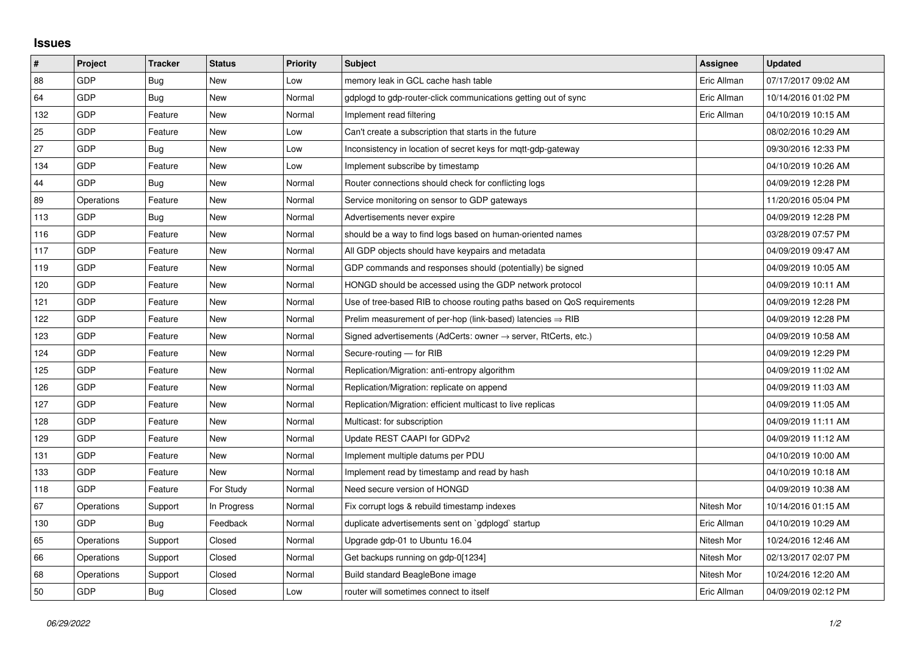## **Issues**

| #   | Project    | <b>Tracker</b> | <b>Status</b> | <b>Priority</b> | <b>Subject</b>                                                          | <b>Assignee</b> | <b>Updated</b>      |
|-----|------------|----------------|---------------|-----------------|-------------------------------------------------------------------------|-----------------|---------------------|
| 88  | GDP        | Bug            | <b>New</b>    | Low             | memory leak in GCL cache hash table                                     | Eric Allman     | 07/17/2017 09:02 AM |
| 64  | GDP        | Bug            | New           | Normal          | gdplogd to gdp-router-click communications getting out of sync          | Eric Allman     | 10/14/2016 01:02 PM |
| 132 | GDP        | Feature        | New           | Normal          | Implement read filtering                                                | Eric Allman     | 04/10/2019 10:15 AM |
| 25  | GDP        | Feature        | <b>New</b>    | Low             | Can't create a subscription that starts in the future                   |                 | 08/02/2016 10:29 AM |
| 27  | GDP        | Bug            | New           | Low             | Inconsistency in location of secret keys for mqtt-gdp-gateway           |                 | 09/30/2016 12:33 PM |
| 134 | GDP        | Feature        | New           | Low             | Implement subscribe by timestamp                                        |                 | 04/10/2019 10:26 AM |
| 44  | GDP        | Bug            | <b>New</b>    | Normal          | Router connections should check for conflicting logs                    |                 | 04/09/2019 12:28 PM |
| 89  | Operations | Feature        | New           | Normal          | Service monitoring on sensor to GDP gateways                            |                 | 11/20/2016 05:04 PM |
| 113 | GDP        | <b>Bug</b>     | <b>New</b>    | Normal          | Advertisements never expire                                             |                 | 04/09/2019 12:28 PM |
| 116 | GDP        | Feature        | New           | Normal          | should be a way to find logs based on human-oriented names              |                 | 03/28/2019 07:57 PM |
| 117 | GDP        | Feature        | New           | Normal          | All GDP objects should have keypairs and metadata                       |                 | 04/09/2019 09:47 AM |
| 119 | GDP        | Feature        | New           | Normal          | GDP commands and responses should (potentially) be signed               |                 | 04/09/2019 10:05 AM |
| 120 | GDP        | Feature        | New           | Normal          | HONGD should be accessed using the GDP network protocol                 |                 | 04/09/2019 10:11 AM |
| 121 | GDP        | Feature        | New           | Normal          | Use of tree-based RIB to choose routing paths based on QoS requirements |                 | 04/09/2019 12:28 PM |
| 122 | GDP        | Feature        | <b>New</b>    | Normal          | Prelim measurement of per-hop (link-based) latencies $\Rightarrow$ RIB  |                 | 04/09/2019 12:28 PM |
| 123 | GDP        | Feature        | New           | Normal          | Signed advertisements (AdCerts: owner → server, RtCerts, etc.)          |                 | 04/09/2019 10:58 AM |
| 124 | GDP        | Feature        | New           | Normal          | Secure-routing - for RIB                                                |                 | 04/09/2019 12:29 PM |
| 125 | GDP        | Feature        | New           | Normal          | Replication/Migration: anti-entropy algorithm                           |                 | 04/09/2019 11:02 AM |
| 126 | GDP        | Feature        | New           | Normal          | Replication/Migration: replicate on append                              |                 | 04/09/2019 11:03 AM |
| 127 | GDP        | Feature        | New           | Normal          | Replication/Migration: efficient multicast to live replicas             |                 | 04/09/2019 11:05 AM |
| 128 | GDP        | Feature        | New           | Normal          | Multicast: for subscription                                             |                 | 04/09/2019 11:11 AM |
| 129 | GDP        | Feature        | New           | Normal          | Update REST CAAPI for GDPv2                                             |                 | 04/09/2019 11:12 AM |
| 131 | GDP        | Feature        | <b>New</b>    | Normal          | Implement multiple datums per PDU                                       |                 | 04/10/2019 10:00 AM |
| 133 | GDP        | Feature        | New           | Normal          | Implement read by timestamp and read by hash                            |                 | 04/10/2019 10:18 AM |
| 118 | GDP        | Feature        | For Study     | Normal          | Need secure version of HONGD                                            |                 | 04/09/2019 10:38 AM |
| 67  | Operations | Support        | In Progress   | Normal          | Fix corrupt logs & rebuild timestamp indexes                            | Nitesh Mor      | 10/14/2016 01:15 AM |
| 130 | GDP        | Bug            | Feedback      | Normal          | duplicate advertisements sent on `gdplogd` startup                      | Eric Allman     | 04/10/2019 10:29 AM |
| 65  | Operations | Support        | Closed        | Normal          | Upgrade gdp-01 to Ubuntu 16.04                                          | Nitesh Mor      | 10/24/2016 12:46 AM |
| 66  | Operations | Support        | Closed        | Normal          | Get backups running on gdp-0[1234]                                      | Nitesh Mor      | 02/13/2017 02:07 PM |
| 68  | Operations | Support        | Closed        | Normal          | Build standard BeagleBone image                                         | Nitesh Mor      | 10/24/2016 12:20 AM |
| 50  | GDP        | Bug            | Closed        | Low             | router will sometimes connect to itself                                 | Eric Allman     | 04/09/2019 02:12 PM |